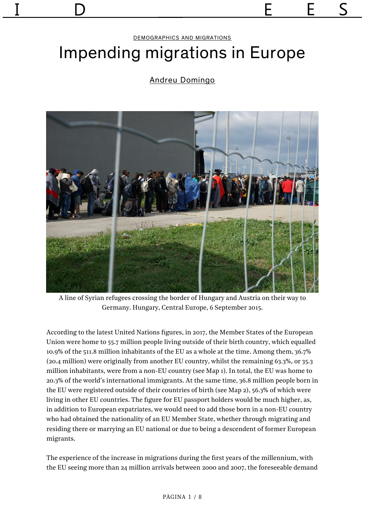#### [DEMOGRAPHICS AND MIGRATIONS](https://revistaidees.cat/seccio/demografia-i-migracions-en/)

# Impending migrations in Europe

### [Andreu Domingo](https://revistaidees.cat/autors/andreu-domingo/)



A line of Syrian refugees crossing the border of Hungary and Austria on their way to Germany. Hungary, Central Europe, 6 September 2015.

According to the latest United Nations figures, in 2017, the Member States of the European Union were home to 55.7 million people living outside of their birth country, which equalled 10.9% of the 511.8 million inhabitants of the EU as a whole at the time. Among them, 36.7% (20.4 million) were originally from another EU country, whilst the remaining 63.3%, or 35.3 million inhabitants, were from a non-EU country (see Map 1). In total, the EU was home to 20.3% of the world's international immigrants. At the same time, 36.8 million people born in the EU were registered outside of their countries of birth (see Map 2), 56.3% of which were living in other EU countries. The figure for EU passport holders would be much higher, as, in addition to European expatriates, we would need to add those born in a non-EU country who had obtained the nationality of an EU Member State, whether through migrating and residing there or marrying an EU national or due to being a descendent of former European migrants.

The experience of the increase in migrations during the first years of the millennium, with the EU seeing more than 24 million arrivals between 2000 and 2007, the foreseeable demand

#### PÀGINA 1 / 8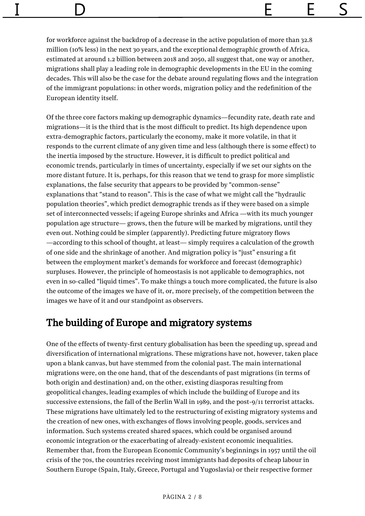for workforce against the backdrop of a decrease in the active population of more than 32.8 million (10% less) in the next 30 years, and the exceptional demographic growth of Africa, estimated at around 1.2 billion between 2018 and 2050, all suggest that, one way or another, migrations shall play a leading role in demographic developments in the EU in the coming decades. This will also be the case for the debate around regulating flows and the integration of the immigrant populations: in other words, migration policy and the redefinition of the European identity itself.

Of the three core factors making up demographic dynamics—fecundity rate, death rate and migrations—it is the third that is the most difficult to predict. Its high dependence upon extra-demographic factors, particularly the economy, make it more volatile, in that it responds to the current climate of any given time and less (although there is some effect) to the inertia imposed by the structure. However, it is difficult to predict political and economic trends, particularly in times of uncertainty, especially if we set our sights on the more distant future. It is, perhaps, for this reason that we tend to grasp for more simplistic explanations, the false security that appears to be provided by "common-sense" explanations that "stand to reason". This is the case of what we might call the "hydraulic population theories", which predict demographic trends as if they were based on a simple set of interconnected vessels; if ageing Europe shrinks and Africa —with its much younger population age structure— grows, then the future will be marked by migrations, until they even out. Nothing could be simpler (apparently). Predicting future migratory flows —according to this school of thought, at least— simply requires a calculation of the growth of one side and the shrinkage of another. And migration policy is "just" ensuring a fit between the employment market's demands for workforce and forecast (demographic) surpluses. However, the principle of homeostasis is not applicable to demographics, not even in so-called "liquid times". To make things a touch more complicated, the future is also the outcome of the images we have of it, or, more precisely, of the competition between the images we have of it and our standpoint as observers.

### The building of Europe and migratory systems

One of the effects of twenty-first century globalisation has been the speeding up, spread and diversification of international migrations. These migrations have not, however, taken place upon a blank canvas, but have stemmed from the colonial past. The main international migrations were, on the one hand, that of the descendants of past migrations (in terms of both origin and destination) and, on the other, existing diasporas resulting from geopolitical changes, leading examples of which include the building of Europe and its successive extensions, the fall of the Berlin Wall in 1989, and the post-9/11 terrorist attacks. These migrations have ultimately led to the restructuring of existing migratory systems and the creation of new ones, with exchanges of flows involving people, goods, services and information. Such systems created shared spaces, which could be organised around economic integration or the exacerbating of already-existent economic inequalities. Remember that, from the European Economic Community's beginnings in 1957 until the oil crisis of the 70s, the countries receiving most immigrants had deposits of cheap labour in Southern Europe (Spain, Italy, Greece, Portugal and Yugoslavia) or their respective former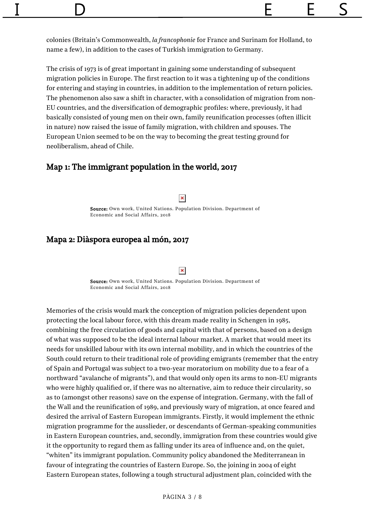colonies (Britain's Commonwealth, *la francophonie* for France and Surinam for Holland, to name a few), in addition to the cases of Turkish immigration to Germany.

The crisis of 1973 is of great important in gaining some understanding of subsequent migration policies in Europe. The first reaction to it was a tightening up of the conditions for entering and staying in countries, in addition to the implementation of return policies. The phenomenon also saw a shift in character, with a consolidation of migration from non-EU countries, and the diversification of demographic profiles: where, previously, it had basically consisted of young men on their own, family reunification processes (often illicit in nature) now raised the issue of family migration, with children and spouses. The European Union seemed to be on the way to becoming the great testing ground for neoliberalism, ahead of Chile.

### Map 1: The immigrant population in the world, 2017

 $\pmb{\times}$ 

Source: Own work, United Nations. Population Division. Department of Economic and Social Affairs, 2018

### Mapa 2: Diàspora europea al món, 2017

#### $\pmb{\times}$

Source: Own work, United Nations. Population Division. Department of Economic and Social Affairs, 2018

Memories of the crisis would mark the conception of migration policies dependent upon protecting the local labour force, with this dream made reality in Schengen in 1985, combining the free circulation of goods and capital with that of persons, based on a design of what was supposed to be the ideal internal labour market. A market that would meet its needs for unskilled labour with its own internal mobility, and in which the countries of the South could return to their traditional role of providing emigrants (remember that the entry of Spain and Portugal was subject to a two-year moratorium on mobility due to a fear of a northward "avalanche of migrants"), and that would only open its arms to non-EU migrants who were highly qualified or, if there was no alternative, aim to reduce their circularity, so as to (amongst other reasons) save on the expense of integration. Germany, with the fall of the Wall and the reunification of 1989, and previously wary of migration, at once feared and desired the arrival of Eastern European immigrants. Firstly, it would implement the ethnic migration programme for the ausslieder, or descendants of German-speaking communities in Eastern European countries, and, secondly, immigration from these countries would give it the opportunity to regard them as falling under its area of influence and, on the quiet, "whiten" its immigrant population. Community policy abandoned the Mediterranean in favour of integrating the countries of Eastern Europe. So, the joining in 2004 of eight Eastern European states, following a tough structural adjustment plan, coincided with the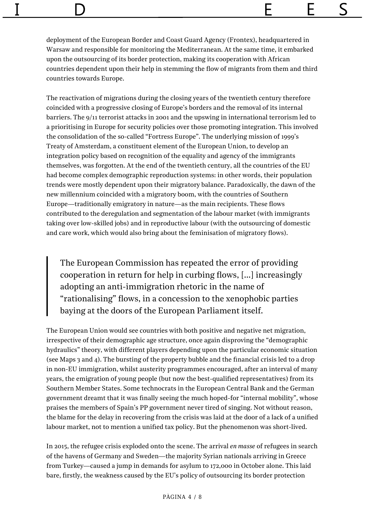deployment of the European Border and Coast Guard Agency (Frontex), headquartered in Warsaw and responsible for monitoring the Mediterranean. At the same time, it embarked upon the outsourcing of its border protection, making its cooperation with African countries dependent upon their help in stemming the flow of migrants from them and third countries towards Europe.

The reactivation of migrations during the closing years of the twentieth century therefore coincided with a progressive closing of Europe's borders and the removal of its internal barriers. The 9/11 terrorist attacks in 2001 and the upswing in international terrorism led to a prioritising in Europe for security policies over those promoting integration. This involved the consolidation of the so-called "Fortress Europe". The underlying mission of 1999's Treaty of Amsterdam, a constituent element of the European Union, to develop an integration policy based on recognition of the equality and agency of the immigrants themselves, was forgotten. At the end of the twentieth century, all the countries of the EU had become complex demographic reproduction systems: in other words, their population trends were mostly dependent upon their migratory balance. Paradoxically, the dawn of the new millennium coincided with a migratory boom, with the countries of Southern Europe—traditionally emigratory in nature—as the main recipients. These flows contributed to the deregulation and segmentation of the labour market (with immigrants taking over low-skilled jobs) and in reproductive labour (with the outsourcing of domestic and care work, which would also bring about the feminisation of migratory flows).

The European Commission has repeated the error of providing cooperation in return for help in curbing flows, […] increasingly adopting an anti-immigration rhetoric in the name of "rationalising" flows, in a concession to the xenophobic parties baying at the doors of the European Parliament itself.

The European Union would see countries with both positive and negative net migration, irrespective of their demographic age structure, once again disproving the "demographic hydraulics" theory, with different players depending upon the particular economic situation (see Maps 3 and 4). The bursting of the property bubble and the financial crisis led to a drop in non-EU immigration, whilst austerity programmes encouraged, after an interval of many years, the emigration of young people (but now the best-qualified representatives) from its Southern Member States. Some technocrats in the European Central Bank and the German government dreamt that it was finally seeing the much hoped-for "internal mobility", whose praises the members of Spain's PP government never tired of singing. Not without reason, the blame for the delay in recovering from the crisis was laid at the door of a lack of a unified labour market, not to mention a unified tax policy. But the phenomenon was short-lived.

In 2015, the refugee crisis exploded onto the scene. The arrival *en masse* of refugees in search of the havens of Germany and Sweden—the majority Syrian nationals arriving in Greece from Turkey—caused a jump in demands for asylum to 172,000 in October alone. This laid bare, firstly, the weakness caused by the EU's policy of outsourcing its border protection

#### PÀGINA 4 / 8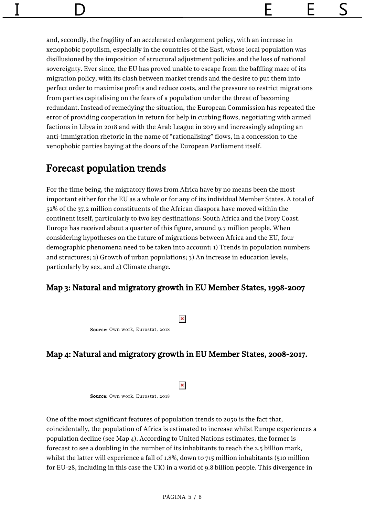and, secondly, the fragility of an accelerated enlargement policy, with an increase in xenophobic populism, especially in the countries of the East, whose local population was disillusioned by the imposition of structural adjustment policies and the loss of national sovereignty. Ever since, the EU has proved unable to escape from the baffling maze of its migration policy, with its clash between market trends and the desire to put them into perfect order to maximise profits and reduce costs, and the pressure to restrict migrations from parties capitalising on the fears of a population under the threat of becoming redundant. Instead of remedying the situation, the European Commission has repeated the error of providing cooperation in return for help in curbing flows, negotiating with armed factions in Libya in 2018 and with the Arab League in 2019 and increasingly adopting an anti-immigration rhetoric in the name of "rationalising" flows, in a concession to the xenophobic parties baying at the doors of the European Parliament itself.

### Forecast population trends

For the time being, the migratory flows from Africa have by no means been the most important either for the EU as a whole or for any of its individual Member States. A total of 52% of the 37.2 million constituents of the African diaspora have moved within the continent itself, particularly to two key destinations: South Africa and the Ivory Coast. Europe has received about a quarter of this figure, around 9.7 million people. When considering hypotheses on the future of migrations between Africa and the EU, four demographic phenomena need to be taken into account: 1) Trends in population numbers and structures; 2) Growth of urban populations; 3) An increase in education levels, particularly by sex, and 4) Climate change.

### Map 3: Natural and migratory growth in EU Member States, 1998-2007

 $\pmb{\times}$ 

Source: Own work, Eurostat, 2018

### Map 4: Natural and migratory growth in EU Member States, 2008-2017.

 $\pmb{\times}$ 

Source: Own work, Eurostat, 2018

One of the most significant features of population trends to 2050 is the fact that, coincidentally, the population of Africa is estimated to increase whilst Europe experiences a population decline (see Map 4). According to United Nations estimates, the former is forecast to see a doubling in the number of its inhabitants to reach the 2.5 billion mark, whilst the latter will experience a fall of 1.8%, down to 715 million inhabitants (510 million for EU-28, including in this case the UK) in a world of 9.8 billion people. This divergence in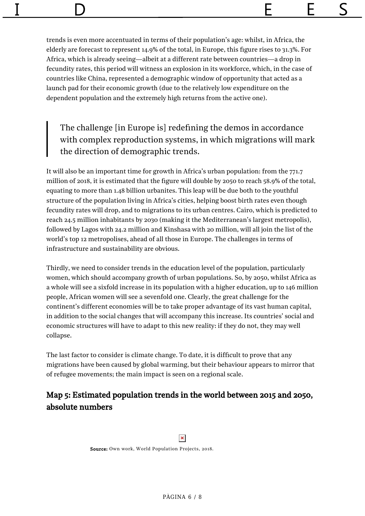trends is even more accentuated in terms of their population's age: whilst, in Africa, the elderly are forecast to represent 14.9% of the total, in Europe, this figure rises to 31.3%. For Africa, which is already seeing—albeit at a different rate between countries—a drop in fecundity rates, this period will witness an explosion in its workforce, which, in the case of countries like China, represented a demographic window of opportunity that acted as a launch pad for their economic growth (due to the relatively low expenditure on the dependent population and the extremely high returns from the active one).

The challenge [in Europe is] redefining the demos in accordance with complex reproduction systems, in which migrations will mark the direction of demographic trends.

It will also be an important time for growth in Africa's urban population: from the 771.7 million of 2018, it is estimated that the figure will double by 2050 to reach 58.9% of the total, equating to more than 1.48 billion urbanites. This leap will be due both to the youthful structure of the population living in Africa's cities, helping boost birth rates even though fecundity rates will drop, and to migrations to its urban centres. Cairo, which is predicted to reach 24.5 million inhabitants by 2030 (making it the Mediterranean's largest metropolis), followed by Lagos with 24.2 million and Kinshasa with 20 million, will all join the list of the world's top 12 metropolises, ahead of all those in Europe. The challenges in terms of infrastructure and sustainability are obvious.

Thirdly, we need to consider trends in the education level of the population, particularly women, which should accompany growth of urban populations. So, by 2050, whilst Africa as a whole will see a sixfold increase in its population with a higher education, up to 146 million people, African women will see a sevenfold one. Clearly, the great challenge for the continent's different economies will be to take proper advantage of its vast human capital, in addition to the social changes that will accompany this increase. Its countries' social and economic structures will have to adapt to this new reality: if they do not, they may well collapse.

The last factor to consider is climate change. To date, it is difficult to prove that any migrations have been caused by global warming, but their behaviour appears to mirror that of refugee movements; the main impact is seen on a regional scale.

### Map 5: Estimated population trends in the world between 2015 and 2050, absolute numbers

 $\pmb{\times}$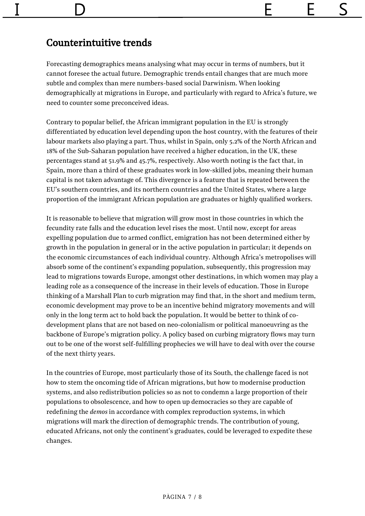## Counterintuitive trends

Forecasting demographics means analysing what may occur in terms of numbers, but it cannot foresee the actual future. Demographic trends entail changes that are much more subtle and complex than mere numbers-based social Darwinism. When looking demographically at migrations in Europe, and particularly with regard to Africa's future, we need to counter some preconceived ideas.

Contrary to popular belief, the African immigrant population in the EU is strongly differentiated by education level depending upon the host country, with the features of their labour markets also playing a part. Thus, whilst in Spain, only 5.2% of the North African and 18% of the Sub-Saharan population have received a higher education, in the UK, these percentages stand at 51.9% and 45.7%, respectively. Also worth noting is the fact that, in Spain, more than a third of these graduates work in low-skilled jobs, meaning their human capital is not taken advantage of. This divergence is a feature that is repeated between the EU's southern countries, and its northern countries and the United States, where a large proportion of the immigrant African population are graduates or highly qualified workers.

It is reasonable to believe that migration will grow most in those countries in which the fecundity rate falls and the education level rises the most. Until now, except for areas expelling population due to armed conflict, emigration has not been determined either by growth in the population in general or in the active population in particular; it depends on the economic circumstances of each individual country. Although Africa's metropolises will absorb some of the continent's expanding population, subsequently, this progression may lead to migrations towards Europe, amongst other destinations, in which women may play a leading role as a consequence of the increase in their levels of education. Those in Europe thinking of a Marshall Plan to curb migration may find that, in the short and medium term, economic development may prove to be an incentive behind migratory movements and will only in the long term act to hold back the population. It would be better to think of codevelopment plans that are not based on neo-colonialism or political manoeuvring as the backbone of Europe's migration policy. A policy based on curbing migratory flows may turn out to be one of the worst self-fulfilling prophecies we will have to deal with over the course of the next thirty years.

In the countries of Europe, most particularly those of its South, the challenge faced is not how to stem the oncoming tide of African migrations, but how to modernise production systems, and also redistribution policies so as not to condemn a large proportion of their populations to obsolescence, and how to open up democracies so they are capable of redefining the *demos* in accordance with complex reproduction systems, in which migrations will mark the direction of demographic trends. The contribution of young, educated Africans, not only the continent's graduates, could be leveraged to expedite these changes.